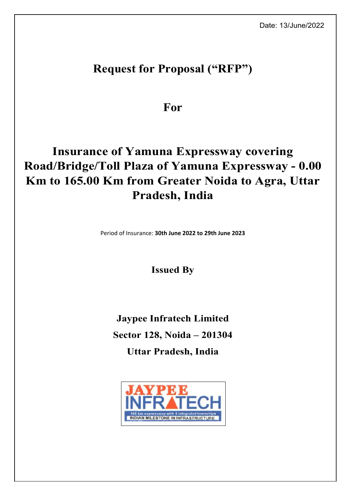# **Request for Proposal ("RFP")**

**For**

# **Insurance of Yamuna Expressway covering Road/Bridge/Toll Plaza of Yamuna Expressway - 0.00 Km to 165.00 Km from Greater Noida to Agra, Uttar Pradesh, India**

Period of Insurance: **30th June 2022 to 29th June 2023**

**Issued By**

**Jaypee Infratech Limited Sector 128, Noida – 201304 Uttar Pradesh, India**

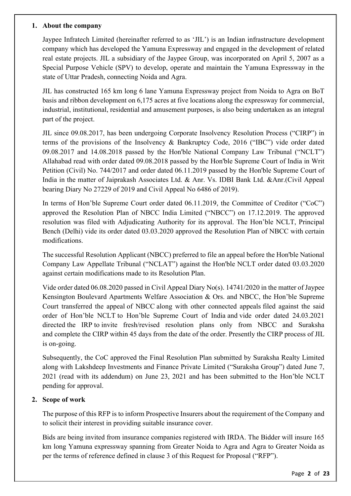#### **1. About the company**

Jaypee Infratech Limited (hereinafter referred to as 'JIL') is an Indian infrastructure development company which has developed the Yamuna Expressway and engaged in the development of related real estate projects. JIL a subsidiary of the Jaypee Group, was incorporated on April 5, 2007 as a Special Purpose Vehicle (SPV) to develop, operate and maintain the Yamuna Expressway in the state of Uttar Pradesh, connecting Noida and Agra.

JIL has constructed 165 km long 6 lane Yamuna Expressway project from Noida to Agra on BoT basis and ribbon development on 6,175 acres at five locations along the expressway for commercial, industrial, institutional, residential and amusement purposes, is also being undertaken as an integral part of the project.

JIL since 09.08.2017, has been undergoing Corporate Insolvency Resolution Process ("CIRP") in terms of the provisions of the Insolvency & Bankruptcy Code, 2016 ("IBC") vide order dated 09.08.2017 and 14.08.2018 passed by the Hon'ble National Company Law Tribunal ("NCLT") Allahabad read with order dated 09.08.2018 passed by the Hon'ble Supreme Court of India in Writ Petition (Civil) No. 744/2017 and order dated 06.11.2019 passed by the Hon'ble Supreme Court of India in the matter of Jaiprakash Associates Ltd. & Anr. Vs. IDBI Bank Ltd. &Anr.(Civil Appeal bearing Diary No 27229 of 2019 and Civil Appeal No 6486 of 2019).

In terms of Hon'ble Supreme Court order dated 06.11.2019, the Committee of Creditor ("CoC") approved the Resolution Plan of NBCC India Limited ("NBCC") on 17.12.2019. The approved resolution was filed with Adjudicating Authority for its approval. The Hon'ble NCLT, Principal Bench (Delhi) vide its order dated 03.03.2020 approved the Resolution Plan of NBCC with certain modifications.

The successful Resolution Applicant (NBCC) preferred to file an appeal before the Hon'ble National Company Law Appellate Tribunal ("NCLAT") against the Hon'ble NCLT order dated 03.03.2020 against certain modifications made to its Resolution Plan.

Vide order dated 06.08.2020 passed in Civil Appeal Diary No(s). 14741/2020 in the matter of Jaypee Kensington Boulevard Apartments Welfare Association & Ors. and NBCC, the Hon'ble Supreme Court transferred the appeal of NBCC along with other connected appeals filed against the said order of Hon'ble NCLT to Hon'ble Supreme Court of India and vide order dated 24.03.2021 directed the IRP to invite fresh/revised resolution plans only from NBCC and Suraksha and complete the CIRP within 45 days from the date of the order. Presently the CIRP process of JIL is on-going.

Subsequently, the CoC approved the Final Resolution Plan submitted by Suraksha Realty Limited along with Lakshdeep Investments and Finance Private Limited ("Suraksha Group") dated June 7, 2021 (read with its addendum) on June 23, 2021 and has been submitted to the Hon'ble NCLT pending for approval.

# **2. Scope of work**

The purpose of this RFP is to inform Prospective Insurers about the requirement of the Company and to solicit their interest in providing suitable insurance cover.

Bids are being invited from insurance companies registered with IRDA. The Bidder will insure 165 km long Yamuna expressway spanning from Greater Noida to Agra and Agra to Greater Noida as per the terms of reference defined in clause 3 of this Request for Proposal ("RFP").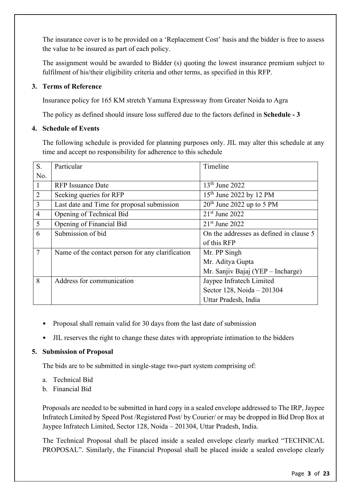The insurance cover is to be provided on a 'Replacement Cost' basis and the bidder is free to assess the value to be insured as part of each policy.

The assignment would be awarded to Bidder (s) quoting the lowest insurance premium subject to fulfilment of his/their eligibility criteria and other terms, as specified in this RFP.

# **3. Terms of Reference**

Insurance policy for 165 KM stretch Yamuna Expressway from Greater Noida to Agra

The policy as defined should insure loss suffered due to the factors defined in **Schedule - 3**

# **4. Schedule of Events**

The following schedule is provided for planning purposes only. JIL may alter this schedule at any time and accept no responsibility for adherence to this schedule

| S.             | Particular                                       | Timeline                                |
|----------------|--------------------------------------------------|-----------------------------------------|
| No.            |                                                  |                                         |
|                | <b>RFP</b> Issuance Date                         | $13th$ June 2022                        |
| $\overline{2}$ | Seeking queries for RFP                          | 15 <sup>th</sup> June 2022 by 12 PM     |
| 3              | Last date and Time for proposal submission       | $20th$ June 2022 up to 5 PM             |
| $\overline{4}$ | Opening of Technical Bid                         | $21st$ June 2022                        |
| 5              | Opening of Financial Bid                         | $21st$ June 2022                        |
| 6              | Submission of bid                                | On the addresses as defined in clause 5 |
|                |                                                  | of this RFP                             |
| $\overline{7}$ | Name of the contact person for any clarification | Mr. PP Singh                            |
|                |                                                  | Mr. Aditya Gupta                        |
|                |                                                  | Mr. Sanjiv Bajaj (YEP - Incharge)       |
| 8              | Address for communication                        | Jaypee Infratech Limited                |
|                |                                                  | Sector 128, Noida - 201304              |
|                |                                                  | Uttar Pradesh, India                    |

- Proposal shall remain valid for 30 days from the last date of submission
- JIL reserves the right to change these dates with appropriate intimation to the bidders

# **5. Submission of Proposal**

The bids are to be submitted in single-stage two-part system comprising of:

- a. Technical Bid
- b. Financial Bid

Proposals are needed to be submitted in hard copy in a sealed envelope addressed to The IRP, Jaypee Infratech Limited by Speed Post /Registered Post/ by Courier/ or may be dropped in Bid Drop Box at Jaypee Infratech Limited, Sector 128, Noida – 201304, Uttar Pradesh, India.

The Technical Proposal shall be placed inside a sealed envelope clearly marked "TECHNICAL PROPOSAL". Similarly, the Financial Proposal shall be placed inside a sealed envelope clearly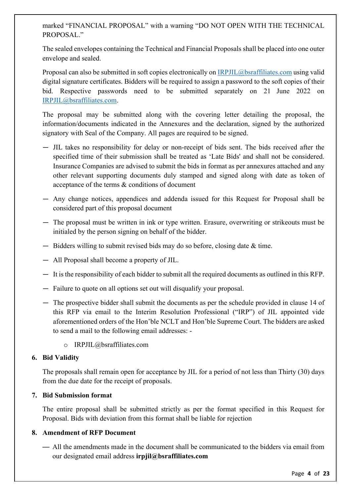marked "FINANCIAL PROPOSAL" with a warning "DO NOT OPEN WITH THE TECHNICAL PROPOSAL."

The sealed envelopes containing the Technical and Financial Proposals shall be placed into one outer envelope and sealed.

Proposal can also be submitted in soft copies electronically on [IRPJIL@bsraffiliates.com](mailto:IRPJIL@bsraffiliates.com) using valid digital signature certificates. Bidders will be required to assign a password to the soft copies of their bid. Respective passwords need to be submitted separately on 21 June 2022 on [IRPJIL@bsraffiliates.com.](mailto:IRPJIL@bsraffiliates.com)

The proposal may be submitted along with the covering letter detailing the proposal, the information/documents indicated in the Annexures and the declaration, signed by the authorized signatory with Seal of the Company. All pages are required to be signed.

- JIL takes no responsibility for delay or non-receipt of bids sent. The bids received after the specified time of their submission shall be treated as 'Late Bids' and shall not be considered. Insurance Companies are advised to submit the bids in format as per annexures attached and any other relevant supporting documents duly stamped and signed along with date as token of acceptance of the terms & conditions of document
- Any change notices, appendices and addenda issued for this Request for Proposal shall be considered part of this proposal document
- The proposal must be written in ink or type written. Erasure, overwriting or strikeouts must be initialed by the person signing on behalf of the bidder.
- Bidders willing to submit revised bids may do so before, closing date & time.
- All Proposal shall become a property of JIL.
- It is the responsibility of each bidder to submit all the required documents as outlined in this RFP.
- Failure to quote on all options set out will disqualify your proposal.
- The prospective bidder shall submit the documents as per the schedule provided in clause 14 of this RFP via email to the Interim Resolution Professional ("IRP") of JIL appointed vide aforementioned orders of the Hon'ble NCLT and Hon'ble Supreme Court. The bidders are asked to send a mail to the following email addresses:
	- o IRPJIL@bsraffiliates.com

#### **6. Bid Validity**

The proposals shall remain open for acceptance by JIL for a period of not less than Thirty (30) days from the due date for the receipt of proposals.

# **7. Bid Submission format**

The entire proposal shall be submitted strictly as per the format specified in this Request for Proposal. Bids with deviation from this format shall be liable for rejection

# **8. Amendment of RFP Document**

— All the amendments made in the document shall be communicated to the bidders via email from our designated email address **irpjil@bsraffiliates.com**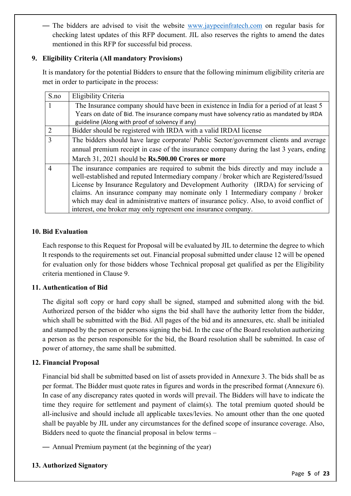— The bidders are advised to visit the website [www.jaypeeinfratech.com](http://www.jaypeeinfratech.com/) on regular basis for checking latest updates of this RFP document. JIL also reserves the rights to amend the dates mentioned in this RFP for successful bid process.

# **9. Eligibility Criteria (All mandatory Provisions)**

It is mandatory for the potential Bidders to ensure that the following minimum eligibility criteria are met in order to participate in the process:

| S.no           | Eligibility Criteria                                                                     |
|----------------|------------------------------------------------------------------------------------------|
|                | The Insurance company should have been in existence in India for a period of at least 5  |
|                | Years on date of Bid. The insurance company must have solvency ratio as mandated by IRDA |
|                | guideline (Along with proof of solvency if any)                                          |
| 2              | Bidder should be registered with IRDA with a valid IRDAI license                         |
| $\overline{3}$ | The bidders should have large corporate/ Public Sector/government clients and average    |
|                | annual premium receipt in case of the insurance company during the last 3 years, ending  |
|                | March 31, 2021 should be Rs.500.00 Crores or more                                        |
| 4              | The insurance companies are required to submit the bids directly and may include a       |
|                | well-established and reputed Intermediary company / broker which are Registered/Issued   |
|                | License by Insurance Regulatory and Development Authority (IRDA) for servicing of        |
|                | claims. An insurance company may nominate only 1 Intermediary company / broker           |
|                | which may deal in administrative matters of insurance policy. Also, to avoid conflict of |
|                | interest, one broker may only represent one insurance company.                           |

# **10. Bid Evaluation**

Each response to this Request for Proposal will be evaluated by JIL to determine the degree to which It responds to the requirements set out. Financial proposal submitted under clause 12 will be opened for evaluation only for those bidders whose Technical proposal get qualified as per the Eligibility criteria mentioned in Clause 9.

# **11. Authentication of Bid**

The digital soft copy or hard copy shall be signed, stamped and submitted along with the bid. Authorized person of the bidder who signs the bid shall have the authority letter from the bidder, which shall be submitted with the Bid. All pages of the bid and its annexures, etc. shall be initialed and stamped by the person or persons signing the bid. In the case of the Board resolution authorizing a person as the person responsible for the bid, the Board resolution shall be submitted. In case of power of attorney, the same shall be submitted.

# **12. Financial Proposal**

Financial bid shall be submitted based on list of assets provided in Annexure 3. The bids shall be as per format. The Bidder must quote rates in figures and words in the prescribed format (Annexure 6). In case of any discrepancy rates quoted in words will prevail. The Bidders will have to indicate the time they require for settlement and payment of claim(s). The total premium quoted should be all-inclusive and should include all applicable taxes/levies. No amount other than the one quoted shall be payable by JIL under any circumstances for the defined scope of insurance coverage. Also, Bidders need to quote the financial proposal in below terms –

— Annual Premium payment (at the beginning of the year)

# **13. Authorized Signatory**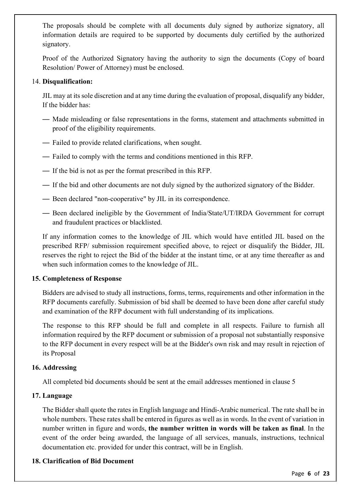The proposals should be complete with all documents duly signed by authorize signatory, all information details are required to be supported by documents duly certified by the authorized signatory.

Proof of the Authorized Signatory having the authority to sign the documents (Copy of board Resolution/ Power of Attorney) must be enclosed.

#### 14. **Disqualification:**

JIL may at its sole discretion and at any time during the evaluation of proposal, disqualify any bidder, If the bidder has:

- Made misleading or false representations in the forms, statement and attachments submitted in proof of the eligibility requirements.
- Failed to provide related clarifications, when sought.
- Failed to comply with the terms and conditions mentioned in this RFP.
- If the bid is not as per the format prescribed in this RFP.
- If the bid and other documents are not duly signed by the authorized signatory of the Bidder.
- Been declared "non-cooperative" by JIL in its correspondence.
- Been declared ineligible by the Government of India/State/UT/IRDA Government for corrupt and fraudulent practices or blacklisted.

If any information comes to the knowledge of JIL which would have entitled JIL based on the prescribed RFP/ submission requirement specified above, to reject or disqualify the Bidder, JIL reserves the right to reject the Bid of the bidder at the instant time, or at any time thereafter as and when such information comes to the knowledge of JIL.

#### **15. Completeness of Response**

Bidders are advised to study all instructions, forms, terms, requirements and other information in the RFP documents carefully. Submission of bid shall be deemed to have been done after careful study and examination of the RFP document with full understanding of its implications.

The response to this RFP should be full and complete in all respects. Failure to furnish all information required by the RFP document or submission of a proposal not substantially responsive to the RFP document in every respect will be at the Bidder's own risk and may result in rejection of its Proposal

#### **16. Addressing**

All completed bid documents should be sent at the email addresses mentioned in clause 5

#### **17. Language**

The Bidder shall quote the rates in English language and Hindi-Arabic numerical. The rate shall be in whole numbers. These rates shall be entered in figures as well as in words. In the event of variation in number written in figure and words, **the number written in words will be taken as final**. In the event of the order being awarded, the language of all services, manuals, instructions, technical documentation etc. provided for under this contract, will be in English.

#### **18. Clarification of Bid Document**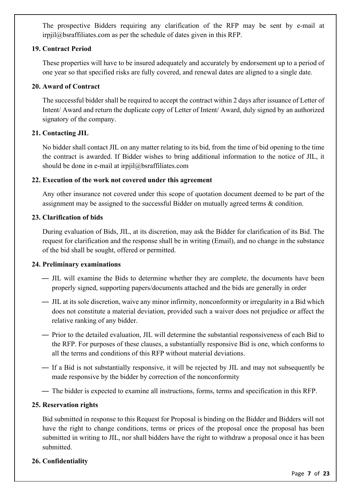The prospective Bidders requiring any clarification of the RFP may be sent by e-mail at irpjil@bsraffiliates.com as per the schedule of dates given in this RFP.

#### **19. Contract Period**

These properties will have to be insured adequately and accurately by endorsement up to a period of one year so that specified risks are fully covered, and renewal dates are aligned to a single date.

# **20. Award of Contract**

The successful bidder shall be required to accept the contract within 2 days after issuance of Letter of Intent/ Award and return the duplicate copy of Letter of Intent/ Award, duly signed by an authorized signatory of the company.

# **21. Contacting JIL**

No bidder shall contact JIL on any matter relating to its bid, from the time of bid opening to the time the contract is awarded. If Bidder wishes to bring additional information to the notice of JIL, it should be done in e-mail at irpjil $@$ bsraffiliates.com

#### **22. Execution of the work not covered under this agreement**

Any other insurance not covered under this scope of quotation document deemed to be part of the assignment may be assigned to the successful Bidder on mutually agreed terms & condition.

#### **23. Clarification of bids**

During evaluation of Bids, JIL, at its discretion, may ask the Bidder for clarification of its Bid. The request for clarification and the response shall be in writing (Email), and no change in the substance of the bid shall be sought, offered or permitted.

# **24. Preliminary examinations**

- JIL will examine the Bids to determine whether they are complete, the documents have been properly signed, supporting papers/documents attached and the bids are generally in order
- JIL at its sole discretion, waive any minor infirmity, nonconformity or irregularity in a Bid which does not constitute a material deviation, provided such a waiver does not prejudice or affect the relative ranking of any bidder.
- Prior to the detailed evaluation, JIL will determine the substantial responsiveness of each Bid to the RFP. For purposes of these clauses, a substantially responsive Bid is one, which conforms to all the terms and conditions of this RFP without material deviations.
- If a Bid is not substantially responsive, it will be rejected by JIL and may not subsequently be made responsive by the bidder by correction of the nonconformity
- The bidder is expected to examine all instructions, forms, terms and specification in this RFP.

# **25. Reservation rights**

Bid submitted in response to this Request for Proposal is binding on the Bidder and Bidders will not have the right to change conditions, terms or prices of the proposal once the proposal has been submitted in writing to JIL, nor shall bidders have the right to withdraw a proposal once it has been submitted.

# **26. Confidentiality**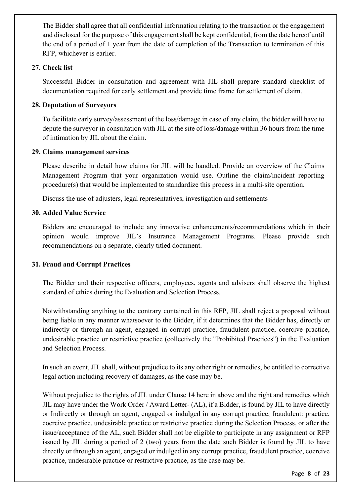The Bidder shall agree that all confidential information relating to the transaction or the engagement and disclosed for the purpose of this engagement shall be kept confidential, from the date hereof until the end of a period of 1 year from the date of completion of the Transaction to termination of this RFP, whichever is earlier.

#### **27. Check list**

Successful Bidder in consultation and agreement with JIL shall prepare standard checklist of documentation required for early settlement and provide time frame for settlement of claim.

#### **28. Deputation of Surveyors**

To facilitate early survey/assessment of the loss/damage in case of any claim, the bidder will have to depute the surveyor in consultation with JIL at the site of loss/damage within 36 hours from the time of intimation by JIL about the claim.

#### **29. Claims management services**

Please describe in detail how claims for JIL will be handled. Provide an overview of the Claims Management Program that your organization would use. Outline the claim/incident reporting procedure(s) that would be implemented to standardize this process in a multi-site operation.

Discuss the use of adjusters, legal representatives, investigation and settlements

#### **30. Added Value Service**

Bidders are encouraged to include any innovative enhancements/recommendations which in their opinion would improve JIL's Insurance Management Programs. Please provide such recommendations on a separate, clearly titled document.

# **31. Fraud and Corrupt Practices**

The Bidder and their respective officers, employees, agents and advisers shall observe the highest standard of ethics during the Evaluation and Selection Process.

Notwithstanding anything to the contrary contained in this RFP, JIL shall reject a proposal without being liable in any manner whatsoever to the Bidder, if it determines that the Bidder has, directly or indirectly or through an agent, engaged in corrupt practice, fraudulent practice, coercive practice, undesirable practice or restrictive practice (collectively the "Prohibited Practices") in the Evaluation and Selection Process.

In such an event, JIL shall, without prejudice to its any other right or remedies, be entitled to corrective legal action including recovery of damages, as the case may be.

Without prejudice to the rights of JIL under Clause 14 here in above and the right and remedies which JIL may have under the Work Order / Award Letter- (AL), if a Bidder, is found by JIL to have directly or Indirectly or through an agent, engaged or indulged in any corrupt practice, fraudulent: practice, coercive practice, undesirable practice or restrictive practice during the Selection Process, or after the issue/acceptance of the AL, such Bidder shall not be eligible to participate in any assignment or RFP issued by JIL during a period of 2 (two) years from the date such Bidder is found by JIL to have directly or through an agent, engaged or indulged in any corrupt practice, fraudulent practice, coercive practice, undesirable practice or restrictive practice, as the case may be.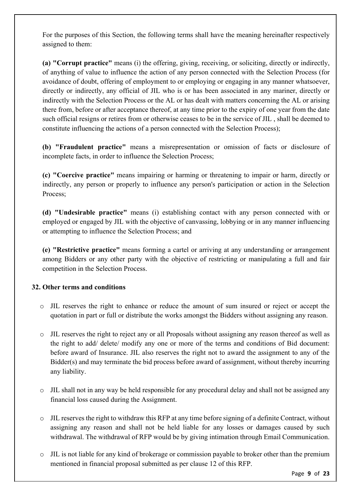For the purposes of this Section, the following terms shall have the meaning hereinafter respectively assigned to them:

**(a) "Corrupt practice"** means (i) the offering, giving, receiving, or soliciting, directly or indirectly, of anything of value to influence the action of any person connected with the Selection Process (for avoidance of doubt, offering of employment to or employing or engaging in any manner whatsoever, directly or indirectly, any official of JIL who is or has been associated in any mariner, directly or indirectly with the Selection Process or the AL or has dealt with matters concerning the AL or arising there from, before or after acceptance thereof, at any time prior to the expiry of one year from the date such official resigns or retires from or otherwise ceases to be in the service of JIL , shall be deemed to constitute influencing the actions of a person connected with the Selection Process);

**(b) "Fraudulent practice"** means a misrepresentation or omission of facts or disclosure of incomplete facts, in order to influence the Selection Process;

**(c) "Coercive practice"** means impairing or harming or threatening to impair or harm, directly or indirectly, any person or properly to influence any person's participation or action in the Selection Process;

**(d) "Undesirable practice"** means (i) establishing contact with any person connected with or employed or engaged by JIL with the objective of canvassing, lobbying or in any manner influencing or attempting to influence the Selection Process; and

**(e) "Restrictive practice"** means forming a cartel or arriving at any understanding or arrangement among Bidders or any other party with the objective of restricting or manipulating a full and fair competition in the Selection Process.

# **32. Other terms and conditions**

- o JIL reserves the right to enhance or reduce the amount of sum insured or reject or accept the quotation in part or full or distribute the works amongst the Bidders without assigning any reason.
- o JIL reserves the right to reject any or all Proposals without assigning any reason thereof as well as the right to add/ delete/ modify any one or more of the terms and conditions of Bid document: before award of Insurance. JIL also reserves the right not to award the assignment to any of the Bidder(s) and may terminate the bid process before award of assignment, without thereby incurring any liability.
- o JIL shall not in any way be held responsible for any procedural delay and shall not be assigned any financial loss caused during the Assignment.
- $\circ$  JIL reserves the right to withdraw this RFP at any time before signing of a definite Contract, without assigning any reason and shall not be held liable for any losses or damages caused by such withdrawal. The withdrawal of RFP would be by giving intimation through Email Communication.
- o JIL is not liable for any kind of brokerage or commission payable to broker other than the premium mentioned in financial proposal submitted as per clause 12 of this RFP.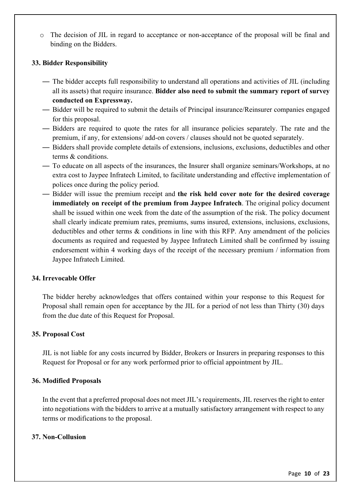o The decision of JIL in regard to acceptance or non-acceptance of the proposal will be final and binding on the Bidders.

#### **33. Bidder Responsibility**

- The bidder accepts full responsibility to understand all operations and activities of JIL (including all its assets) that require insurance. **Bidder also need to submit the summary report of survey conducted on Expressway.**
- Bidder will be required to submit the details of Principal insurance/Reinsurer companies engaged for this proposal.
- Bidders are required to quote the rates for all insurance policies separately. The rate and the premium, if any, for extensions/ add-on covers / clauses should not be quoted separately.
- Bidders shall provide complete details of extensions, inclusions, exclusions, deductibles and other terms & conditions.
- To educate on all aspects of the insurances, the Insurer shall organize seminars/Workshops, at no extra cost to Jaypee Infratech Limited, to facilitate understanding and effective implementation of polices once during the policy period.
- Bidder will issue the premium receipt and **the risk held cover note for the desired coverage immediately on receipt of the premium from Jaypee Infratech**. The original policy document shall be issued within one week from the date of the assumption of the risk. The policy document shall clearly indicate premium rates, premiums, sums insured, extensions, inclusions, exclusions, deductibles and other terms  $\&$  conditions in line with this RFP. Any amendment of the policies documents as required and requested by Jaypee Infratech Limited shall be confirmed by issuing endorsement within 4 working days of the receipt of the necessary premium / information from Jaypee Infratech Limited.

#### **34. Irrevocable Offer**

The bidder hereby acknowledges that offers contained within your response to this Request for Proposal shall remain open for acceptance by the JIL for a period of not less than Thirty (30) days from the due date of this Request for Proposal.

#### **35. Proposal Cost**

JIL is not liable for any costs incurred by Bidder, Brokers or Insurers in preparing responses to this Request for Proposal or for any work performed prior to official appointment by JIL.

#### **36. Modified Proposals**

In the event that a preferred proposal does not meet JIL's requirements, JIL reserves the right to enter into negotiations with the bidders to arrive at a mutually satisfactory arrangement with respect to any terms or modifications to the proposal.

#### **37. Non-Collusion**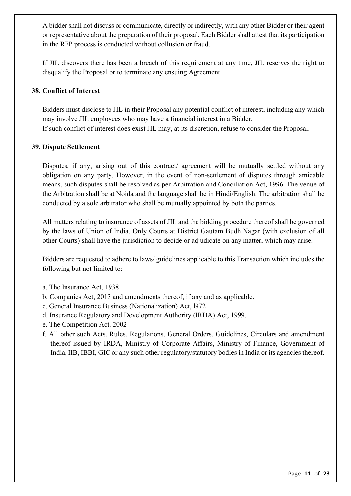A bidder shall not discuss or communicate, directly or indirectly, with any other Bidder or their agent or representative about the preparation of their proposal. Each Bidder shall attest that its participation in the RFP process is conducted without collusion or fraud.

If JIL discovers there has been a breach of this requirement at any time, JIL reserves the right to disqualify the Proposal or to terminate any ensuing Agreement.

#### **38. Conflict of Interest**

Bidders must disclose to JIL in their Proposal any potential conflict of interest, including any which may involve JIL employees who may have a financial interest in a Bidder. If such conflict of interest does exist JIL may, at its discretion, refuse to consider the Proposal.

#### **39. Dispute Settlement**

Disputes, if any, arising out of this contract/ agreement will be mutually settled without any obligation on any party. However, in the event of non-settlement of disputes through amicable means, such disputes shall be resolved as per Arbitration and Conciliation Act, 1996. The venue of the Arbitration shall be at Noida and the language shall be in Hindi/English. The arbitration shall be conducted by a sole arbitrator who shall be mutually appointed by both the parties.

All matters relating to insurance of assets of JIL and the bidding procedure thereof shall be governed by the laws of Union of India. Only Courts at District Gautam Budh Nagar (with exclusion of all other Courts) shall have the jurisdiction to decide or adjudicate on any matter, which may arise.

Bidders are requested to adhere to laws/ guidelines applicable to this Transaction which includes the following but not limited to:

- a. The Insurance Act, 1938
- b. Companies Act, 2013 and amendments thereof, if any and as applicable.
- c. General Insurance Business (Nationalization) Act, l972
- d. Insurance Regulatory and Development Authority (IRDA) Act, 1999.
- e. The Competition Act, 2002
- f. All other such Acts, Rules, Regulations, General Orders, Guidelines, Circulars and amendment thereof issued by IRDA, Ministry of Corporate Affairs, Ministry of Finance, Government of India, IIB, IBBI, GIC or any such other regulatory/statutory bodies in India or its agencies thereof.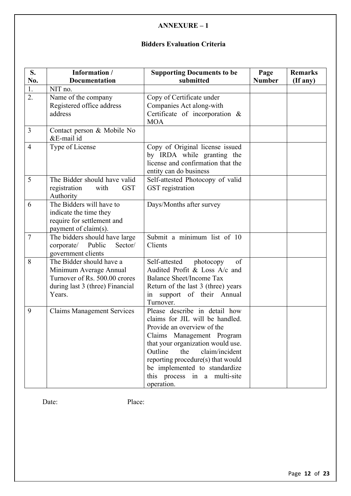# **Bidders Evaluation Criteria**

| S.             | Information /                                                                                                                    | <b>Supporting Documents to be</b>                                                                                                                                                                                                                                                                                        | Page          | <b>Remarks</b> |
|----------------|----------------------------------------------------------------------------------------------------------------------------------|--------------------------------------------------------------------------------------------------------------------------------------------------------------------------------------------------------------------------------------------------------------------------------------------------------------------------|---------------|----------------|
| No.            | <b>Documentation</b>                                                                                                             | submitted                                                                                                                                                                                                                                                                                                                | <b>Number</b> | (If any)       |
| 1.<br>2.       | NIT no.<br>Name of the company<br>Registered office address<br>address                                                           | Copy of Certificate under<br>Companies Act along-with<br>Certificate of incorporation &<br><b>MOA</b>                                                                                                                                                                                                                    |               |                |
| $\overline{3}$ | Contact person & Mobile No<br>&E-mail id                                                                                         |                                                                                                                                                                                                                                                                                                                          |               |                |
| $\overline{4}$ | Type of License                                                                                                                  | Copy of Original license issued<br>by IRDA while granting the<br>license and confirmation that the<br>entity can do business                                                                                                                                                                                             |               |                |
| 5              | The Bidder should have valid<br>registration<br><b>GST</b><br>with<br>Authority                                                  | Self-attested Photocopy of valid<br>GST registration                                                                                                                                                                                                                                                                     |               |                |
| 6              | The Bidders will have to<br>indicate the time they<br>require for settlement and<br>payment of claim(s).                         | Days/Months after survey                                                                                                                                                                                                                                                                                                 |               |                |
| $\overline{7}$ | The bidders should have large<br>corporate/ Public<br>Sector/<br>government clients                                              | Submit a minimum list of 10<br>Clients                                                                                                                                                                                                                                                                                   |               |                |
| 8              | The Bidder should have a<br>Minimum Average Annual<br>Turnover of Rs. 500.00 crores<br>during last 3 (three) Financial<br>Years. | Self-attested<br>photocopy<br>of<br>Audited Profit & Loss A/c and<br><b>Balance Sheet/Income Tax</b><br>Return of the last 3 (three) years<br>in support of their Annual<br>Turnover.                                                                                                                                    |               |                |
| 9              | <b>Claims Management Services</b>                                                                                                | Please describe in detail how<br>claims for JIL will be handled.<br>Provide an overview of the<br>Claims Management Program<br>that your organization would use.<br>Outline<br>the<br>claim/incident<br>reporting procedure(s) that would<br>be implemented to standardize<br>this process in a multi-site<br>operation. |               |                |

Date: Place: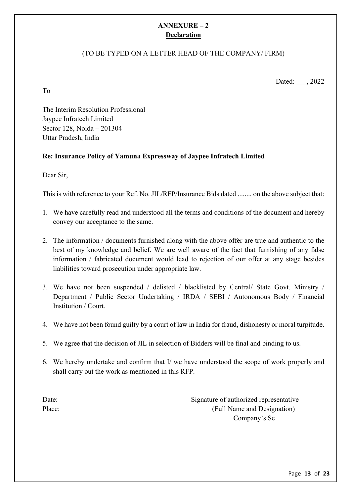# **ANNEXURE – 2 Declaration**

# (TO BE TYPED ON A LETTER HEAD OF THE COMPANY/ FIRM)

Dated: , 2022

The Interim Resolution Professional Jaypee Infratech Limited Sector 128, Noida – 201304 Uttar Pradesh, India

# **Re: Insurance Policy of Yamuna Expressway of Jaypee Infratech Limited**

Dear Sir,

To

This is with reference to your Ref. No. JIL/RFP/Insurance Bids dated ........ on the above subject that:

- 1. We have carefully read and understood all the terms and conditions of the document and hereby convey our acceptance to the same.
- 2. The information / documents furnished along with the above offer are true and authentic to the best of my knowledge and belief. We are well aware of the fact that furnishing of any false information / fabricated document would lead to rejection of our offer at any stage besides liabilities toward prosecution under appropriate law.
- 3. We have not been suspended / delisted / blacklisted by Central/ State Govt. Ministry / Department / Public Sector Undertaking / IRDA / SEBI / Autonomous Body / Financial Institution / Court.
- 4. We have not been found guilty by a court of law in India for fraud, dishonesty or moral turpitude.
- 5. We agree that the decision of JIL in selection of Bidders will be final and binding to us.
- 6. We hereby undertake and confirm that I/ we have understood the scope of work properly and shall carry out the work as mentioned in this RFP.

Date: Signature of authorized representative Place: (Full Name and Designation) Company's Se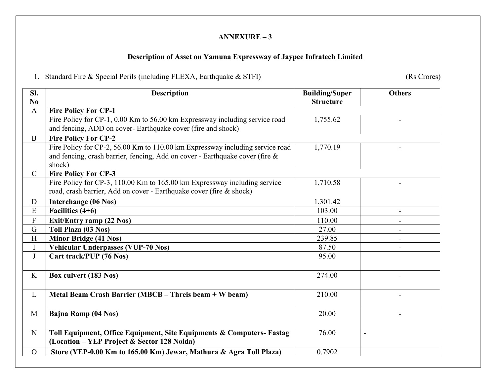# **Description of Asset on Yamuna Expressway of Jaypee Infratech Limited**

1. Standard Fire & Special Perils (including FLEXA, Earthquake & STFI) (Rs Crores)

| SI.            | <b>Description</b>                                                            | <b>Building/Super</b> | <b>Others</b>  |
|----------------|-------------------------------------------------------------------------------|-----------------------|----------------|
| N <sub>0</sub> |                                                                               | <b>Structure</b>      |                |
| $\mathbf{A}$   | <b>Fire Policy For CP-1</b>                                                   |                       |                |
|                | Fire Policy for CP-1, 0.00 Km to 56.00 km Expressway including service road   | 1,755.62              |                |
|                | and fencing, ADD on cover- Earthquake cover (fire and shock)                  |                       |                |
| $\mathbf{B}$   | <b>Fire Policy For CP-2</b>                                                   |                       |                |
|                | Fire Policy for CP-2, 56.00 Km to 110.00 km Expressway including service road | 1,770.19              |                |
|                | and fencing, crash barrier, fencing, Add on cover - Earthquake cover (fire &  |                       |                |
|                | shock)                                                                        |                       |                |
| $\mathcal{C}$  | <b>Fire Policy For CP-3</b>                                                   |                       |                |
|                | Fire Policy for CP-3, 110.00 Km to 165.00 km Expressway including service     | 1,710.58              |                |
|                | road, crash barrier, Add on cover - Earthquake cover (fire & shock)           |                       |                |
| D              | Interchange (06 Nos)                                                          | 1,301.42              |                |
| ${\bf E}$      | Facilities $(4+6)$                                                            | 103.00                | $\blacksquare$ |
| $\overline{F}$ | <b>Exit/Entry ramp (22 Nos)</b>                                               | 110.00                |                |
| G              | Toll Plaza (03 Nos)                                                           | 27.00                 |                |
| H              | <b>Minor Bridge (41 Nos)</b>                                                  | 239.85                |                |
| $\mathbf I$    | Vehicular Underpasses (VUP-70 Nos)                                            | 87.50                 |                |
| J              | Cart track/PUP (76 Nos)                                                       | 95.00                 |                |
|                |                                                                               |                       |                |
| K              | Box culvert (183 Nos)                                                         | 274.00                |                |
|                |                                                                               |                       |                |
| L              | Metal Beam Crash Barrier (MBCB – Threis beam + W beam)                        | 210.00                |                |
|                |                                                                               |                       |                |
| $\mathbf{M}$   | Bajna Ramp (04 Nos)                                                           | 20.00                 |                |
|                |                                                                               |                       |                |
| ${\bf N}$      | Toll Equipment, Office Equipment, Site Equipments & Computers- Fastag         | 76.00                 | $\overline{a}$ |
|                | (Location – YEP Project & Sector 128 Noida)                                   |                       |                |
| $\overline{O}$ | Store (YEP-0.00 Km to 165.00 Km) Jewar, Mathura & Agra Toll Plaza)            | 0.7902                |                |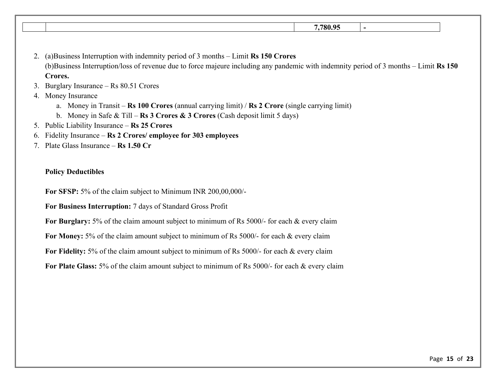| 770005<br>. . |  |
|---------------|--|
|               |  |

- 2. (a)Business Interruption with indemnity period of 3 months Limit **Rs 150 Crores**  (b)Business Interruption/loss of revenue due to force majeure including any pandemic with indemnity period of 3 months – Limit **Rs 150 Crores.**
- 3. Burglary Insurance Rs 80.51 Crores
- 4. Money Insurance
	- a. Money in Transit **Rs 100 Crores** (annual carrying limit) / **Rs 2 Crore** (single carrying limit)
	- b. Money in Safe & Till **Rs 3 Crores & 3 Crores** (Cash deposit limit 5 days)
- 5. Public Liability Insurance **Rs 25 Crores**
- 6. Fidelity Insurance **Rs 2 Crores/ employee for 303 employees**
- 7. Plate Glass Insurance **Rs 1.50 Cr**

#### **Policy Deductibles**

**For SFSP:** 5% of the claim subject to Minimum INR 200,00,000/-

**For Business Interruption:** 7 days of Standard Gross Profit

For Burglary: 5% of the claim amount subject to minimum of Rs 5000/- for each & every claim

For Money: 5% of the claim amount subject to minimum of Rs 5000/- for each & every claim

For Fidelity: 5% of the claim amount subject to minimum of Rs 5000/- for each & every claim

**For Plate Glass:** 5% of the claim amount subject to minimum of Rs 5000/- for each & every claim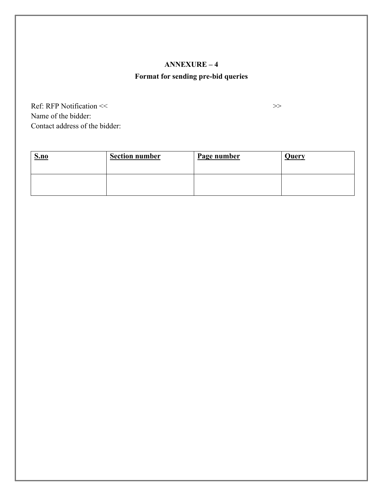# **Format for sending pre-bid queries**

Ref: RFP Notification << > >>> Name of the bidder: Contact address of the bidder:

**S.no Section number Page number Query**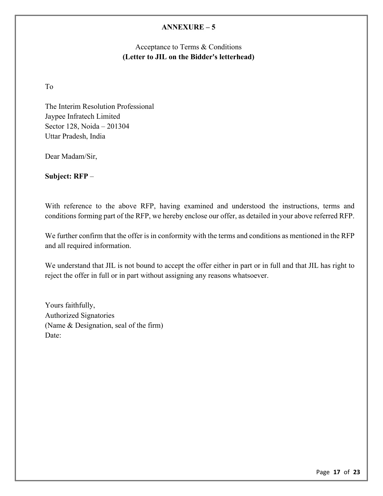# Acceptance to Terms & Conditions **(Letter to JIL on the Bidder's letterhead)**

To

The Interim Resolution Professional Jaypee Infratech Limited Sector 128, Noida – 201304 Uttar Pradesh, India

Dear Madam/Sir,

**Subject: RFP** –

With reference to the above RFP, having examined and understood the instructions, terms and conditions forming part of the RFP, we hereby enclose our offer, as detailed in your above referred RFP.

We further confirm that the offer is in conformity with the terms and conditions as mentioned in the RFP and all required information.

We understand that JIL is not bound to accept the offer either in part or in full and that JIL has right to reject the offer in full or in part without assigning any reasons whatsoever.

Yours faithfully, Authorized Signatories (Name & Designation, seal of the firm) Date: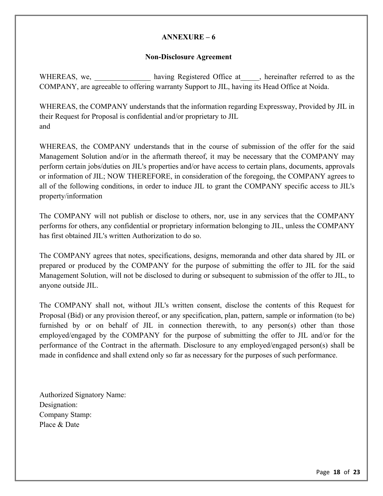#### **Non-Disclosure Agreement**

WHEREAS, we, having Registered Office at experiment referred to as the COMPANY, are agreeable to offering warranty Support to JIL, having its Head Office at Noida.

WHEREAS, the COMPANY understands that the information regarding Expressway, Provided by JIL in their Request for Proposal is confidential and/or proprietary to JIL and

WHEREAS, the COMPANY understands that in the course of submission of the offer for the said Management Solution and/or in the aftermath thereof, it may be necessary that the COMPANY may perform certain jobs/duties on JIL's properties and/or have access to certain plans, documents, approvals or information of JIL; NOW THEREFORE, in consideration of the foregoing, the COMPANY agrees to all of the following conditions, in order to induce JIL to grant the COMPANY specific access to JIL's property/information

The COMPANY will not publish or disclose to others, nor, use in any services that the COMPANY performs for others, any confidential or proprietary information belonging to JIL, unless the COMPANY has first obtained JIL's written Authorization to do so.

The COMPANY agrees that notes, specifications, designs, memoranda and other data shared by JIL or prepared or produced by the COMPANY for the purpose of submitting the offer to JIL for the said Management Solution, will not be disclosed to during or subsequent to submission of the offer to JIL, to anyone outside JIL.

The COMPANY shall not, without JIL's written consent, disclose the contents of this Request for Proposal (Bid) or any provision thereof, or any specification, plan, pattern, sample or information (to be) furnished by or on behalf of JIL in connection therewith, to any person(s) other than those employed/engaged by the COMPANY for the purpose of submitting the offer to JIL and/or for the performance of the Contract in the aftermath. Disclosure to any employed/engaged person(s) shall be made in confidence and shall extend only so far as necessary for the purposes of such performance.

Authorized Signatory Name: Designation: Company Stamp: Place & Date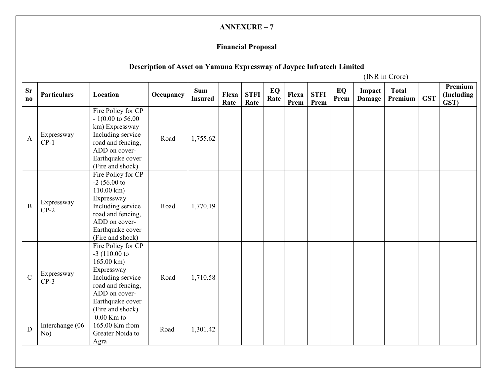# **Financial Proposal**

# **Description of Asset on Yamuna Expressway of Jaypee Infratech Limited**

(INR in Crore)

| <b>Sr</b><br>$\mathbf{n}\mathbf{o}$ | <b>Particulars</b>     | Location                                                                                                                                                                        | Occupancy | <b>Sum</b><br><b>Insured</b> | Flexa<br>Rate | <b>STFI</b><br>Rate | EQ<br>Rate | Flexa<br>Prem | <b>STFI</b><br>Prem | EQ<br>Prem | Impact<br>Damage | <b>Total</b><br>Premium | <b>GST</b> | Premium<br>(Including<br>GST) |
|-------------------------------------|------------------------|---------------------------------------------------------------------------------------------------------------------------------------------------------------------------------|-----------|------------------------------|---------------|---------------------|------------|---------------|---------------------|------------|------------------|-------------------------|------------|-------------------------------|
| $\mathbf{A}$                        | Expressway<br>$CP-1$   | Fire Policy for CP<br>$-1(0.00 \text{ to } 56.00)$<br>km) Expressway<br>Including service<br>road and fencing,<br>ADD on cover-<br>Earthquake cover<br>(Fire and shock)         | Road      | 1,755.62                     |               |                     |            |               |                     |            |                  |                         |            |                               |
| $\mathbf B$                         | Expressway<br>$CP-2$   | Fire Policy for CP<br>$-2$ (56.00 to<br>$110.00 \text{ km}$ )<br>Expressway<br>Including service<br>road and fencing,<br>ADD on cover-<br>Earthquake cover<br>(Fire and shock)  | Road      | 1,770.19                     |               |                     |            |               |                     |            |                  |                         |            |                               |
| $\mathbf C$                         | Expressway<br>$CP-3$   | Fire Policy for CP<br>$-3$ (110.00 to<br>$165.00 \text{ km}$ )<br>Expressway<br>Including service<br>road and fencing,<br>ADD on cover-<br>Earthquake cover<br>(Fire and shock) | Road      | 1,710.58                     |               |                     |            |               |                     |            |                  |                         |            |                               |
| ${\bf D}$                           | Interchange (06<br>No) | $0.00$ Km to<br>165.00 Km from<br>Greater Noida to<br>Agra                                                                                                                      | Road      | 1,301.42                     |               |                     |            |               |                     |            |                  |                         |            |                               |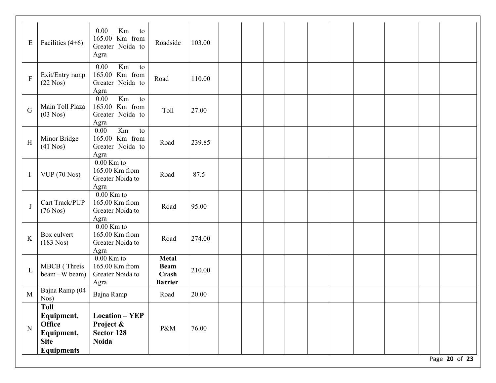| Km<br>0.00<br>to<br>165.00 Km from<br>Exit/Entry ramp<br>$\mathbf F$<br>Road<br>110.00<br>$(22$ Nos)<br>Greater Noida to<br>Agra<br>Km<br>0.00<br>to<br>Main Toll Plaza<br>165.00 Km from<br>Toll<br>G<br>27.00<br>$(03$ Nos $)$<br>Greater Noida to<br>Agra<br>Km<br>0.00<br>to<br>165.00 Km from<br>Minor Bridge<br>$\, {\rm H}$<br>Road<br>239.85<br>$(41$ Nos)<br>Greater Noida to<br>Agra<br>$0.00$ Km to<br>165.00 Km from<br>VUP (70 Nos)<br>87.5<br>Road<br>$\mathbf I$<br>Greater Noida to<br>Agra<br>$0.00$ Km to<br>Cart Track/PUP<br>165.00 Km from<br>J<br>Road<br>95.00<br>$(76$ Nos)<br>Greater Noida to<br>Agra<br>$0.00$ Km to<br>165.00 Km from<br>Box culvert<br>K<br>Road<br>274.00<br>$(183$ Nos)<br>Greater Noida to<br>Agra<br>$0.00$ Km to<br><b>Metal</b><br>MBCB (Threis<br>165.00 Km from<br><b>Beam</b><br>$\mathbf L$<br>210.00<br>beam +W beam)<br>Greater Noida to<br>Crash<br><b>Barrier</b><br>Agra<br>Bajna Ramp (04<br>Bajna Ramp<br>$\mathbf M$<br>20.00<br>Road<br>$N_{OS}$ )<br>Toll | E | Facilities $(4+6)$ | 0.00<br>Km<br>to<br>165.00 Km from<br>Greater Noida to<br>Agra | Roadside | 103.00 |  |  |  |  |  |
|----------------------------------------------------------------------------------------------------------------------------------------------------------------------------------------------------------------------------------------------------------------------------------------------------------------------------------------------------------------------------------------------------------------------------------------------------------------------------------------------------------------------------------------------------------------------------------------------------------------------------------------------------------------------------------------------------------------------------------------------------------------------------------------------------------------------------------------------------------------------------------------------------------------------------------------------------------------------------------------------------------------------------|---|--------------------|----------------------------------------------------------------|----------|--------|--|--|--|--|--|
|                                                                                                                                                                                                                                                                                                                                                                                                                                                                                                                                                                                                                                                                                                                                                                                                                                                                                                                                                                                                                            |   |                    |                                                                |          |        |  |  |  |  |  |
|                                                                                                                                                                                                                                                                                                                                                                                                                                                                                                                                                                                                                                                                                                                                                                                                                                                                                                                                                                                                                            |   |                    |                                                                |          |        |  |  |  |  |  |
|                                                                                                                                                                                                                                                                                                                                                                                                                                                                                                                                                                                                                                                                                                                                                                                                                                                                                                                                                                                                                            |   |                    |                                                                |          |        |  |  |  |  |  |
|                                                                                                                                                                                                                                                                                                                                                                                                                                                                                                                                                                                                                                                                                                                                                                                                                                                                                                                                                                                                                            |   |                    |                                                                |          |        |  |  |  |  |  |
|                                                                                                                                                                                                                                                                                                                                                                                                                                                                                                                                                                                                                                                                                                                                                                                                                                                                                                                                                                                                                            |   |                    |                                                                |          |        |  |  |  |  |  |
|                                                                                                                                                                                                                                                                                                                                                                                                                                                                                                                                                                                                                                                                                                                                                                                                                                                                                                                                                                                                                            |   |                    |                                                                |          |        |  |  |  |  |  |
|                                                                                                                                                                                                                                                                                                                                                                                                                                                                                                                                                                                                                                                                                                                                                                                                                                                                                                                                                                                                                            |   |                    |                                                                |          |        |  |  |  |  |  |
|                                                                                                                                                                                                                                                                                                                                                                                                                                                                                                                                                                                                                                                                                                                                                                                                                                                                                                                                                                                                                            |   |                    |                                                                |          |        |  |  |  |  |  |
| <b>Office</b><br>Project &<br>N<br>P&M<br>76.00<br>Sector 128<br>Equipment,<br><b>Noida</b><br><b>Site</b><br><b>Equipments</b>                                                                                                                                                                                                                                                                                                                                                                                                                                                                                                                                                                                                                                                                                                                                                                                                                                                                                            |   | Equipment,         | <b>Location - YEP</b>                                          |          |        |  |  |  |  |  |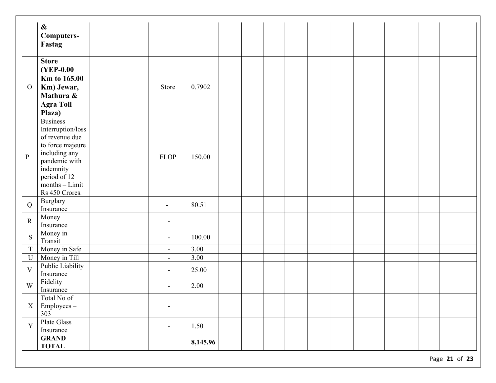|                | $\boldsymbol{\&}$<br>Computers-<br>Fastag                                                                                                                                       |                          |          |  |  |  |  |  |
|----------------|---------------------------------------------------------------------------------------------------------------------------------------------------------------------------------|--------------------------|----------|--|--|--|--|--|
| $\overline{O}$ | <b>Store</b><br><b>(YEP-0.00)</b><br><b>Km to 165.00</b><br>Km) Jewar,<br>Mathura &<br><b>Agra Toll</b><br>Plaza)                                                               | Store                    | 0.7902   |  |  |  |  |  |
| $\, {\bf p}$   | <b>Business</b><br>Interruption/loss<br>of revenue due<br>to force majeure<br>including any<br>pandemic with<br>indemnity<br>period of 12<br>$months - Limit$<br>Rs 450 Crores. | <b>FLOP</b>              | 150.00   |  |  |  |  |  |
| Q              | Burglary<br>Insurance                                                                                                                                                           | $\overline{\phantom{a}}$ | 80.51    |  |  |  |  |  |
| ${\bf R}$      | Money<br>Insurance                                                                                                                                                              | ÷                        |          |  |  |  |  |  |
| S              | Money in<br>Transit                                                                                                                                                             | $\overline{\phantom{a}}$ | 100.00   |  |  |  |  |  |
| $\overline{T}$ | Money in Safe                                                                                                                                                                   | $\equiv$                 | 3.00     |  |  |  |  |  |
| U              | Money in Till                                                                                                                                                                   | $\blacksquare$           | 3.00     |  |  |  |  |  |
| $\mathbf{V}$   | Public Liability<br>Insurance                                                                                                                                                   | $\blacksquare$           | 25.00    |  |  |  |  |  |
| W              | Fidelity<br>Insurance                                                                                                                                                           | $\blacksquare$           | 2.00     |  |  |  |  |  |
| $\mathbf X$    | Total No of<br>Employees-<br>303                                                                                                                                                | $\overline{\phantom{a}}$ |          |  |  |  |  |  |
| Y              | Plate Glass<br>Insurance                                                                                                                                                        | $\overline{\phantom{a}}$ | 1.50     |  |  |  |  |  |
|                | <b>GRAND</b><br><b>TOTAL</b>                                                                                                                                                    |                          | 8,145.96 |  |  |  |  |  |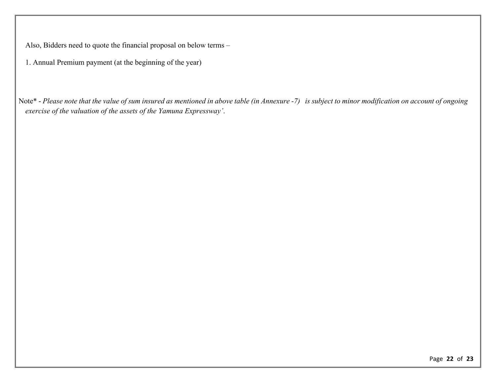Also, Bidders need to quote the financial proposal on below terms –

1. Annual Premium payment (at the beginning of the year)

Note\* - *Please note that the value of sum insured as mentioned in above table (in Annexure -7) is subject to minor modification on account of ongoing exercise of the valuation of the assets of the Yamuna Expressway'*.